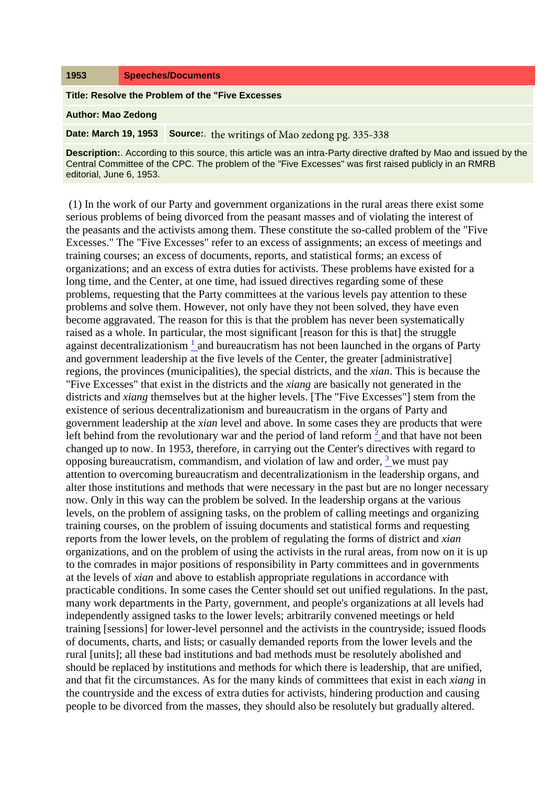## **1953 Speeches/Documents**

**Title: Resolve the Problem of the "Five Excesses**

**Author: Mao Zedong**

**Date: March 19, 1953 Source:** the writings of Mao zedong pg. 335-338

**Description:**. According to this source, this article was an intra-Party directive drafted by Mao and issued by the Central Committee of the CPC. The problem of the "Five Excesses" was first raised publicly in an RMRB editorial, June 6, 1953.

(1) In the work of our Party and government organizations in the rural areas there exist some serious problems of being divorced from the peasant masses and of violating the interest of the peasants and the activists among them. These constitute the so-called problem of the "Five Excesses." The "Five Excesses" refer to an excess of assignments; an excess of meetings and training courses; an excess of documents, reports, and statistical forms; an excess of organizations; and an excess of extra duties for activists. These problems have existed for a long time, and the Center, at one time, had issued directives regarding some of these problems, requesting that the Party committees at the various levels pay attention to these problems and solve them. However, not only have they not been solved, they have even become aggravated. The reason for this is that the problem has never been systematically raised as a whole. In particular, the most significant [reason for this is that] the struggle against decentralizationism  $\frac{1}{2}$  $\frac{1}{2}$  $\frac{1}{2}$  and bureaucratism has not been launched in the organs of Party and government leadership at the five levels of the Center, the greater [administrative] regions, the provinces (municipalities), the special districts, and the *xian*. This is because the "Five Excesses" that exist in the districts and the *xiang* are basically not generated in the districts and *xiang* themselves but at the higher levels. [The "Five Excesses"] stem from the existence of serious decentralizationism and bureaucratism in the organs of Party and government leadership at the *xian* level and above. In some cases they are products that were left behind from the revolutionary war and the period of land reform  $\frac{2}{3}$  $\frac{2}{3}$  $\frac{2}{3}$  and that have not been changed up to now. In 1953, therefore, in carrying out the Center's directives with regard to opposing bureaucratism, commandism, and violation of law and order,  $3 \text{ we must pay}$  $3 \text{ we must pay}$ attention to overcoming bureaucratism and decentralizationism in the leadership organs, and alter those institutions and methods that were necessary in the past but are no longer necessary now. Only in this way can the problem be solved. In the leadership organs at the various levels, on the problem of assigning tasks, on the problem of calling meetings and organizing training courses, on the problem of issuing documents and statistical forms and requesting reports from the lower levels, on the problem of regulating the forms of district and *xian* organizations, and on the problem of using the activists in the rural areas, from now on it is up to the comrades in major positions of responsibility in Party committees and in governments at the levels of *xian* and above to establish appropriate regulations in accordance with practicable conditions. In some cases the Center should set out unified regulations. In the past, many work departments in the Party, government, and people's organizations at all levels had independently assigned tasks to the lower levels; arbitrarily convened meetings or held training [sessions] for lower-level personnel and the activists in the countryside; issued floods of documents, charts, and lists; or casually demanded reports from the lower levels and the rural [units]; all these bad institutions and bad methods must be resolutely abolished and should be replaced by institutions and methods for which there is leadership, that are unified, and that fit the circumstances. As for the many kinds of committees that exist in each *xiang* in the countryside and the excess of extra duties for activists, hindering production and causing people to be divorced from the masses, they should also be resolutely but gradually altered.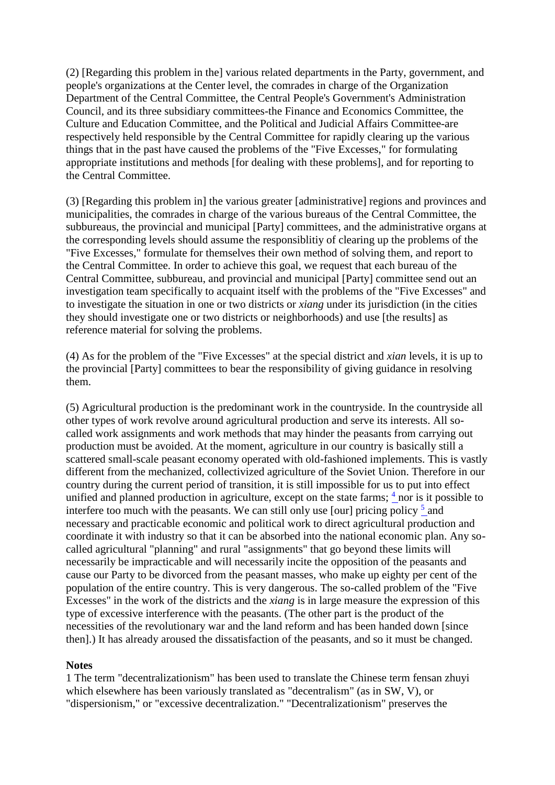(2) [Regarding this problem in the] various related departments in the Party, government, and people's organizations at the Center level, the comrades in charge of the Organization Department of the Central Committee, the Central People's Government's Administration Council, and its three subsidiary committees-the Finance and Economics Committee, the Culture and Education Committee, and the Political and Judicial Affairs Committee-are respectively held responsible by the Central Committee for rapidly clearing up the various things that in the past have caused the problems of the "Five Excesses," for formulating appropriate institutions and methods [for dealing with these problems], and for reporting to the Central Committee.

(3) [Regarding this problem in] the various greater [administrative] regions and provinces and municipalities, the comrades in charge of the various bureaus of the Central Committee, the subbureaus, the provincial and municipal [Party] committees, and the administrative organs at the corresponding levels should assume the responsiblitiy of clearing up the problems of the "Five Excesses," formulate for themselves their own method of solving them, and report to the Central Committee. In order to achieve this goal, we request that each bureau of the Central Committee, subbureau, and provincial and municipal [Party] committee send out an investigation team specifically to acquaint itself with the problems of the "Five Excesses" and to investigate the situation in one or two districts or *xiang* under its jurisdiction (in the cities they should investigate one or two districts or neighborhoods) and use [the results] as reference material for solving the problems.

(4) As for the problem of the "Five Excesses" at the special district and *xian* levels, it is up to the provincial [Party] committees to bear the responsibility of giving guidance in resolving them.

(5) Agricultural production is the predominant work in the countryside. In the countryside all other types of work revolve around agricultural production and serve its interests. All socalled work assignments and work methods that may hinder the peasants from carrying out production must be avoided. At the moment, agriculture in our country is basically still a scattered small-scale peasant economy operated with old-fashioned implements. This is vastly different from the mechanized, collectivized agriculture of the Soviet Union. Therefore in our country during the current period of transition, it is still impossible for us to put into effect unified and planned production in agriculture, except on the state farms;  $\frac{4}{1}$  $\frac{4}{1}$  $\frac{4}{1}$  nor is it possible to interfere too much with the peasants. We can still only use [our] pricing policy  $\frac{5}{2}$  $\frac{5}{2}$  $\frac{5}{2}$  and necessary and practicable economic and political work to direct agricultural production and coordinate it with industry so that it can be absorbed into the national economic plan. Any socalled agricultural "planning" and rural "assignments" that go beyond these limits will necessarily be impracticable and will necessarily incite the opposition of the peasants and cause our Party to be divorced from the peasant masses, who make up eighty per cent of the population of the entire country. This is very dangerous. The so-called problem of the "Five Excesses" in the work of the districts and the *xiang* is in large measure the expression of this type of excessive interference with the peasants. (The other part is the product of the necessities of the revolutionary war and the land reform and has been handed down [since then].) It has already aroused the dissatisfaction of the peasants, and so it must be changed.

## **Notes**

1 The term "decentralizationism" has been used to translate the Chinese term fensan zhuyi which elsewhere has been variously translated as "decentralism" (as in SW, V), or "dispersionism," or "excessive decentralization." "Decentralizationism" preserves the